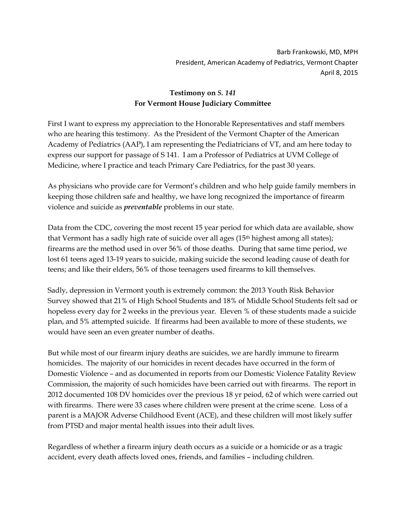Barb Frankowski, MD, MPH President, American Academy of Pediatrics, Vermont Chapter April 8, 2015

## **Testimony on** *S. 141* **For Vermont House Judiciary Committee**

First I want to express my appreciation to the Honorable Representatives and staff members who are hearing this testimony. As the President of the Vermont Chapter of the American Academy of Pediatrics (AAP), I am representing the Pediatricians of VT, and am here today to express our support for passage of S 141. I am a Professor of Pediatrics at UVM College of Medicine, where I practice and teach Primary Care Pediatrics, for the past 30 years.

As physicians who provide care for Vermont's children and who help guide family members in keeping those children safe and healthy, we have long recognized the importance of firearm violence and suicide as *preventable* problems in our state.

Data from the CDC, covering the most recent 15 year period for which data are available, show that Vermont has a sadly high rate of suicide over all ages  $(15<sup>th</sup>$  highest among all states); firearms are the method used in over 56% of those deaths. During that same time period, we lost 61 teens aged 13-19 years to suicide, making suicide the second leading cause of death for teens; and like their elders, 56% of those teenagers used firearms to kill themselves.

Sadly, depression in Vermont youth is extremely common: the 2013 Youth Risk Behavior Survey showed that 21% of High School Students and 18% of Middle School Students felt sad or hopeless every day for 2 weeks in the previous year. Eleven % of these students made a suicide plan, and 5% attempted suicide. If firearms had been available to more of these students, we would have seen an even greater number of deaths.

But while most of our firearm injury deaths are suicides, we are hardly immune to firearm homicides. The majority of our homicides in recent decades have occurred in the form of Domestic Violence – and as documented in reports from our Domestic Violence Fatality Review Commission, the majority of such homicides have been carried out with firearms. The report in 2012 documented 108 DV homicides over the previous 18 yr peiod, 62 of which were carried out with firearms. There were 33 cases where children were present at the crime scene. Loss of a parent is a MAJOR Adverse Childhood Event (ACE), and these children will most likely suffer from PTSD and major mental health issues into their adult lives.

Regardless of whether a firearm injury death occurs as a suicide or a homicide or as a tragic accident, every death affects loved ones, friends, and families – including children.